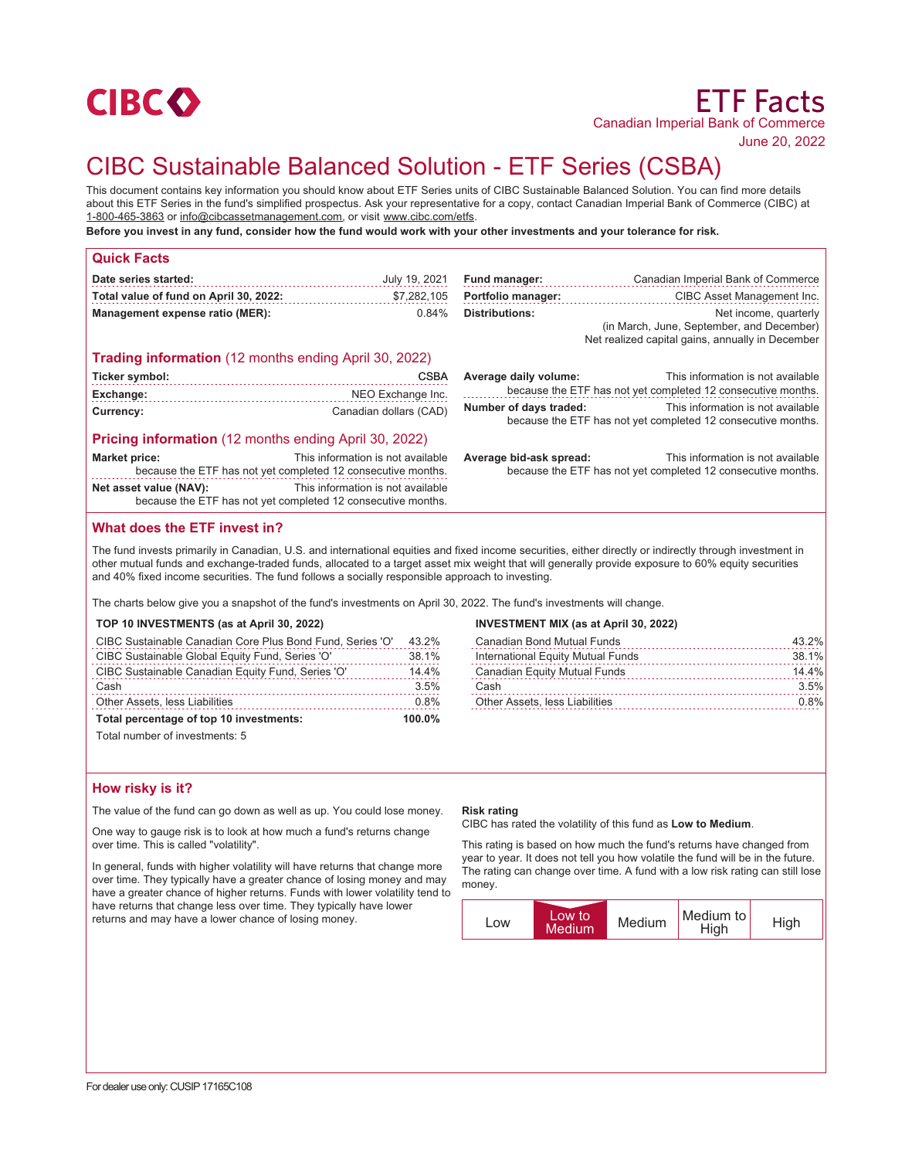

## June 20, 2022

# CIBC Sustainable Balanced Solution - ETF Series (CSBA)

This document contains key information you should know about ETF Series units of CIBC Sustainable Balanced Solution. You can find more details about this ETF Series in the fund's simplified prospectus. Ask your representative for a copy, contact Canadian Imperial Bank of Commerce (CIBC) at 1-800-465-3863 or info@cibcassetmanagement.com, or visit www.cibc.com/etfs.

**Before you invest in any fund, consider how the fund would work with your other investments and your tolerance for risk.**

| <b>Quick Facts</b>                                                                     |                                   |                         |                                                                                                                        |
|----------------------------------------------------------------------------------------|-----------------------------------|-------------------------|------------------------------------------------------------------------------------------------------------------------|
| Date series started:                                                                   | July 19, 2021                     | Fund manager:           | Canadian Imperial Bank of Commerce                                                                                     |
| Total value of fund on April 30, 2022:                                                 | \$7,282,105                       | Portfolio manager:      | CIBC Asset Management Inc.                                                                                             |
| Management expense ratio (MER):                                                        | 0.84%                             | <b>Distributions:</b>   | Net income, quarterly<br>(in March, June, September, and December)<br>Net realized capital gains, annually in December |
| <b>Trading information</b> (12 months ending April 30, 2022)                           |                                   |                         |                                                                                                                        |
| Ticker symbol:                                                                         | <b>CSBA</b>                       | Average daily volume:   | This information is not available                                                                                      |
| Exchange:                                                                              | NEO Exchange Inc.                 |                         | because the ETF has not yet completed 12 consecutive months.                                                           |
| Currency:                                                                              | Canadian dollars (CAD)            | Number of days traded:  | This information is not available<br>because the ETF has not yet completed 12 consecutive months.                      |
| <b>Pricing information</b> (12 months ending April 30, 2022)                           |                                   |                         |                                                                                                                        |
| <b>Market price:</b><br>because the ETF has not yet completed 12 consecutive months.   | This information is not available | Average bid-ask spread: | This information is not available<br>because the ETF has not yet completed 12 consecutive months.                      |
| Net asset value (NAV):<br>because the ETF has not yet completed 12 consecutive months. | This information is not available |                         |                                                                                                                        |

# **What does the ETF invest in?**

The fund invests primarily in Canadian, U.S. and international equities and fixed income securities, either directly or indirectly through investment in other mutual funds and exchange-traded funds, allocated to a target asset mix weight that will generally provide exposure to 60% equity securities and 40% fixed income securities. The fund follows a socially responsible approach to investing.

The charts below give you a snapshot of the fund's investments on April 30, 2022. The fund's investments will change.

| TOP 10 INVESTMENTS (as at April 30, 2022)                 |       |  |
|-----------------------------------------------------------|-------|--|
| CIRC Sustainable Canadian Core Plus Rond Fund, Series 'O' | 43.2% |  |

| Total percentage of top 10 investments:           | 100.0% |
|---------------------------------------------------|--------|
| <b>Other Assets, less Liabilities</b>             | 0.8%   |
| Cash                                              | 3.5%   |
| CIBC Sustainable Canadian Equity Fund, Series 'O' | 14.4%  |
| CIBC Sustainable Global Equity Fund, Series 'O'   | 38.1%  |
|                                                   |        |

Total number of investments: 5

## **INVESTMENT MIX (as at April 30, 2022)**

| 43.2% |
|-------|
| 38.1% |
| 14.4% |
| 3.5%  |
| 0.8%  |
|       |

## **How risky is it?**

The value of the fund can go down as well as up. You could lose money.

One way to gauge risk is to look at how much a fund's returns change over time. This is called "volatility".

In general, funds with higher volatility will have returns that change more over time. They typically have a greater chance of losing money and may have a greater chance of higher returns. Funds with lower volatility tend to have returns that change less over time. They typically have lower returns and may have a lower chance of losing money.

## **Risk rating**

CIBC has rated the volatility of this fund as **Low to Medium**.

This rating is based on how much the fund's returns have changed from year to year. It does not tell you how volatile the fund will be in the future. The rating can change over time. A fund with a low risk rating can still lose money.

| lLow to'<br><b>LOW</b><br><b>Medium</b> | Medium | Medium to<br>High | <b>High</b> |
|-----------------------------------------|--------|-------------------|-------------|
|-----------------------------------------|--------|-------------------|-------------|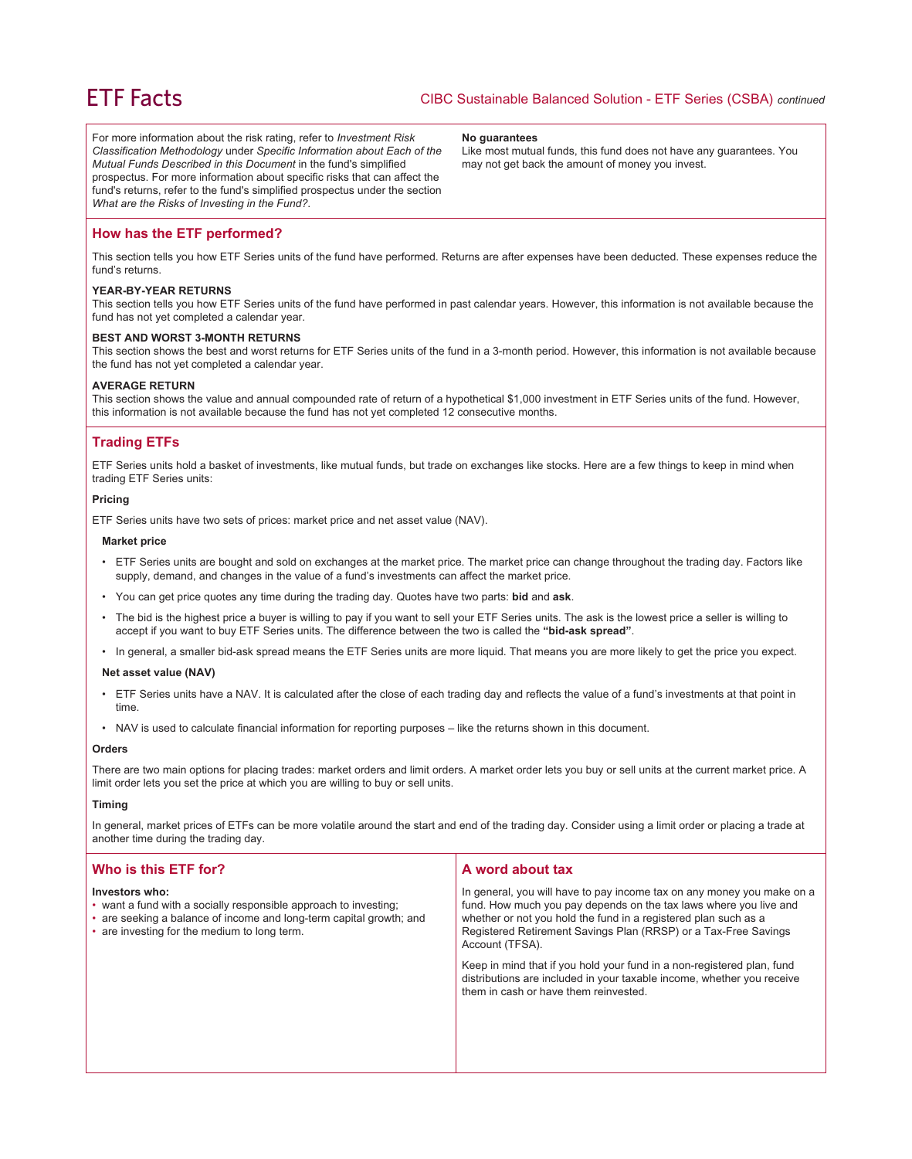For more information about the risk rating, refer to *Investment Risk Classification Methodology* under *Specific Information about Each of the Mutual Funds Described in this Document* in the fund's simplified prospectus. For more information about specific risks that can affect the fund's returns, refer to the fund's simplified prospectus under the section *What are the Risks of Investing in the Fund?*.

#### **No guarantees**

Like most mutual funds, this fund does not have any guarantees. You may not get back the amount of money you invest.

## **How has the ETF performed?**

This section tells you how ETF Series units of the fund have performed. Returns are after expenses have been deducted. These expenses reduce the fund's returns.

## **YEAR-BY-YEAR RETURNS**

This section tells you how ETF Series units of the fund have performed in past calendar years. However, this information is not available because the fund has not yet completed a calendar year.

## **BEST AND WORST 3-MONTH RETURNS**

This section shows the best and worst returns for ETF Series units of the fund in a 3-month period. However, this information is not available because the fund has not yet completed a calendar year.

## **AVERAGE RETURN**

This section shows the value and annual compounded rate of return of a hypothetical \$1,000 investment in ETF Series units of the fund. However, this information is not available because the fund has not yet completed 12 consecutive months.

# **Trading ETFs**

ETF Series units hold a basket of investments, like mutual funds, but trade on exchanges like stocks. Here are a few things to keep in mind when trading ETF Series units:

#### **Pricing**

ETF Series units have two sets of prices: market price and net asset value (NAV).

#### **Market price**

- ETF Series units are bought and sold on exchanges at the market price. The market price can change throughout the trading day. Factors like supply, demand, and changes in the value of a fund's investments can affect the market price.
- You can get price quotes any time during the trading day. Quotes have two parts: **bid** and **ask**.
- The bid is the highest price a buyer is willing to pay if you want to sell your ETF Series units. The ask is the lowest price a seller is willing to accept if you want to buy ETF Series units. The difference between the two is called the **"bid-ask spread"**.
- In general, a smaller bid-ask spread means the ETF Series units are more liquid. That means you are more likely to get the price you expect.

#### **Net asset value (NAV)**

- ETF Series units have a NAV. It is calculated after the close of each trading day and reflects the value of a fund's investments at that point in time.
- NAV is used to calculate financial information for reporting purposes like the returns shown in this document.

#### **Orders**

There are two main options for placing trades: market orders and limit orders. A market order lets you buy or sell units at the current market price. A limit order lets you set the price at which you are willing to buy or sell units.

#### **Timing**

In general, market prices of ETFs can be more volatile around the start and end of the trading day. Consider using a limit order or placing a trade at another time during the trading day.

| Who is this ETF for?                                                                                                                                                                                      | A word about tax                                                                                                                                                                                                                                                                                     |  |
|-----------------------------------------------------------------------------------------------------------------------------------------------------------------------------------------------------------|------------------------------------------------------------------------------------------------------------------------------------------------------------------------------------------------------------------------------------------------------------------------------------------------------|--|
| Investors who:<br>• want a fund with a socially responsible approach to investing;<br>• are seeking a balance of income and long-term capital growth; and<br>• are investing for the medium to long term. | In general, you will have to pay income tax on any money you make on a<br>fund. How much you pay depends on the tax laws where you live and<br>whether or not you hold the fund in a registered plan such as a<br>Registered Retirement Savings Plan (RRSP) or a Tax-Free Savings<br>Account (TFSA). |  |
|                                                                                                                                                                                                           | Keep in mind that if you hold your fund in a non-registered plan, fund<br>distributions are included in your taxable income, whether you receive<br>them in cash or have them reinvested.                                                                                                            |  |